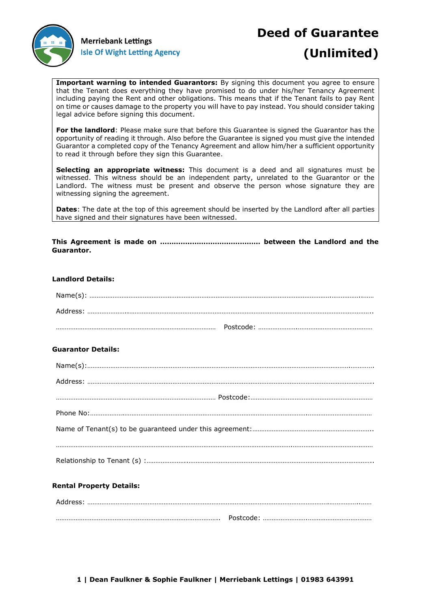

# **Deed of Guarantee (Unlimited)**

**Important warning to intended Guarantors:** By signing this document you agree to ensure that the Tenant does everything they have promised to do under his/her Tenancy Agreement including paying the Rent and other obligations. This means that if the Tenant fails to pay Rent on time or causes damage to the property you will have to pay instead. You should consider taking legal advice before signing this document.

**For the landlord**: Please make sure that before this Guarantee is signed the Guarantor has the opportunity of reading it through. Also before the Guarantee is signed you must give the intended Guarantor a completed copy of the Tenancy Agreement and allow him/her a sufficient opportunity to read it through before they sign this Guarantee.

**Selecting an appropriate witness:** This document is a deed and all signatures must be witnessed. This witness should be an independent party, unrelated to the Guarantor or the Landlord. The witness must be present and observe the person whose signature they are witnessing signing the agreement.

**Dates**: The date at the top of this agreement should be inserted by the Landlord after all parties have signed and their signatures have been witnessed.

**This Agreement is made on …………..………………………… between the Landlord and the Guarantor.**

## **Landlord Details:**

## **Guarantor Details:**

## **Rental Property Details:**

| Address: |           |
|----------|-----------|
|          | Postcode: |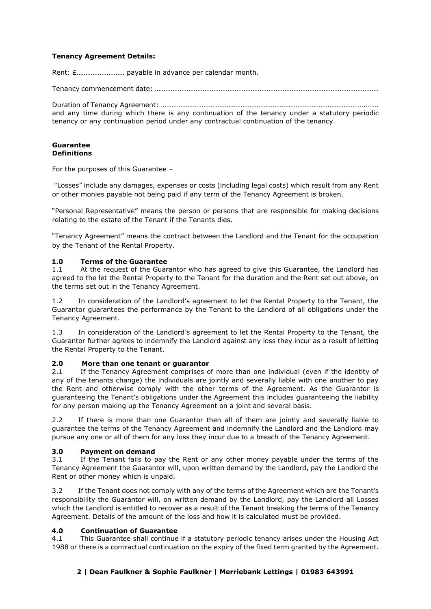## **Tenancy Agreement Details:**

Rent: £……………………… payable in advance per calendar month.

Tenancy commencement date: ………………………………………………………………………………………………………………

Duration of Tenancy Agreement: …………………………………………………………………………………………………….……. and any time during which there is any continuation of the tenancy under a statutory periodic tenancy or any continuation period under any contractual continuation of the tenancy.

#### **Guarantee Definitions**

For the purposes of this Guarantee –

"Losses" include any damages, expenses or costs (including legal costs) which result from any Rent or other monies payable not being paid if any term of the Tenancy Agreement is broken.

"Personal Representative" means the person or persons that are responsible for making decisions relating to the estate of the Tenant if the Tenants dies.

"Tenancy Agreement" means the contract between the Landlord and the Tenant for the occupation by the Tenant of the Rental Property.

## **1.0 Terms of the Guarantee**

1.1 At the request of the Guarantor who has agreed to give this Guarantee, the Landlord has agreed to the let the Rental Property to the Tenant for the duration and the Rent set out above, on the terms set out in the Tenancy Agreement.

1.2 In consideration of the Landlord's agreement to let the Rental Property to the Tenant, the Guarantor guarantees the performance by the Tenant to the Landlord of all obligations under the Tenancy Agreement.

1.3 In consideration of the Landlord's agreement to let the Rental Property to the Tenant, the Guarantor further agrees to indemnify the Landlord against any loss they incur as a result of letting the Rental Property to the Tenant.

## **2.0 More than one tenant or guarantor**

2.1 If the Tenancy Agreement comprises of more than one individual (even if the identity of any of the tenants change) the individuals are jointly and severally liable with one another to pay the Rent and otherwise comply with the other terms of the Agreement. As the Guarantor is guaranteeing the Tenant's obligations under the Agreement this includes guaranteeing the liability for any person making up the Tenancy Agreement on a joint and several basis.

2.2 If there is more than one Guarantor then all of them are jointly and severally liable to guarantee the terms of the Tenancy Agreement and indemnify the Landlord and the Landlord may pursue any one or all of them for any loss they incur due to a breach of the Tenancy Agreement.

## **3.0 Payment on demand**

3.1 If the Tenant fails to pay the Rent or any other money payable under the terms of the Tenancy Agreement the Guarantor will, upon written demand by the Landlord, pay the Landlord the Rent or other money which is unpaid.

3.2 If the Tenant does not comply with any of the terms of the Agreement which are the Tenant's responsibility the Guarantor will, on written demand by the Landlord, pay the Landlord all Losses which the Landlord is entitled to recover as a result of the Tenant breaking the terms of the Tenancy Agreement. Details of the amount of the loss and how it is calculated must be provided.

## **4.0 Continuation of Guarantee**

4.1 This Guarantee shall continue if a statutory periodic tenancy arises under the Housing Act 1988 or there is a contractual continuation on the expiry of the fixed term granted by the Agreement.

## **2 | Dean Faulkner & Sophie Faulkner | Merriebank Lettings | 01983 643991**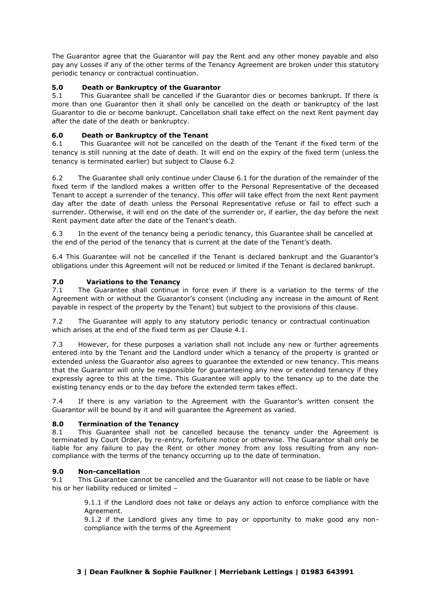The Guarantor agree that the Guarantor will pay the Rent and any other money payable and also pay any Losses if any of the other terms of the Tenancy Agreement are broken under this statutory periodic tenancy or contractual continuation.

# **5.0 Death or Bankruptcy of the Guarantor**

5.1 This Guarantee shall be cancelled if the Guarantor dies or becomes bankrupt. If there is more than one Guarantor then it shall only be cancelled on the death or bankruptcy of the last Guarantor to die or become bankrupt. Cancellation shall take effect on the next Rent payment day after the date of the death or bankruptcy.

# **6.0 Death or Bankruptcy of the Tenant**

6.1 This Guarantee will not be cancelled on the death of the Tenant if the fixed term of the tenancy is still running at the date of death. It will end on the expiry of the fixed term (unless the tenancy is terminated earlier) but subject to Clause 6.2

6.2 The Guarantee shall only continue under Clause 6.1 for the duration of the remainder of the fixed term if the landlord makes a written offer to the Personal Representative of the deceased Tenant to accept a surrender of the tenancy. This offer will take effect from the next Rent payment day after the date of death unless the Personal Representative refuse or fail to effect such a surrender. Otherwise, it will end on the date of the surrender or, if earlier, the day before the next Rent payment date after the date of the Tenant's death.

6.3 In the event of the tenancy being a periodic tenancy, this Guarantee shall be cancelled at the end of the period of the tenancy that is current at the date of the Tenant's death.

6.4 This Guarantee will not be cancelled if the Tenant is declared bankrupt and the Guarantor's obligations under this Agreement will not be reduced or limited if the Tenant is declared bankrupt.

## **7.0 Variations to the Tenancy**

7.1 The Guarantee shall continue in force even if there is a variation to the terms of the Agreement with or without the Guarantor's consent (including any increase in the amount of Rent payable in respect of the property by the Tenant) but subject to the provisions of this clause.

7.2 The Guarantee will apply to any statutory periodic tenancy or contractual continuation which arises at the end of the fixed term as per Clause 4.1.

7.3 However, for these purposes a variation shall not include any new or further agreements entered into by the Tenant and the Landlord under which a tenancy of the property is granted or extended unless the Guarantor also agrees to guarantee the extended or new tenancy. This means that the Guarantor will only be responsible for guaranteeing any new or extended tenancy if they expressly agree to this at the time. This Guarantee will apply to the tenancy up to the date the existing tenancy ends or to the day before the extended term takes effect.

7.4 If there is any variation to the Agreement with the Guarantor's written consent the Guarantor will be bound by it and will guarantee the Agreement as varied.

## **8.0 Termination of the Tenancy**

8.1 This Guarantee shall not be cancelled because the tenancy under the Agreement is terminated by Court Order, by re-entry, forfeiture notice or otherwise. The Guarantor shall only be liable for any failure to pay the Rent or other money from any loss resulting from any noncompliance with the terms of the tenancy occurring up to the date of termination.

## **9.0 Non-cancellation**

9.1 This Guarantee cannot be cancelled and the Guarantor will not cease to be liable or have his or her liability reduced or limited –

> 9.1.1 if the Landlord does not take or delays any action to enforce compliance with the Agreement.

> 9.1.2 if the Landlord gives any time to pay or opportunity to make good any noncompliance with the terms of the Agreement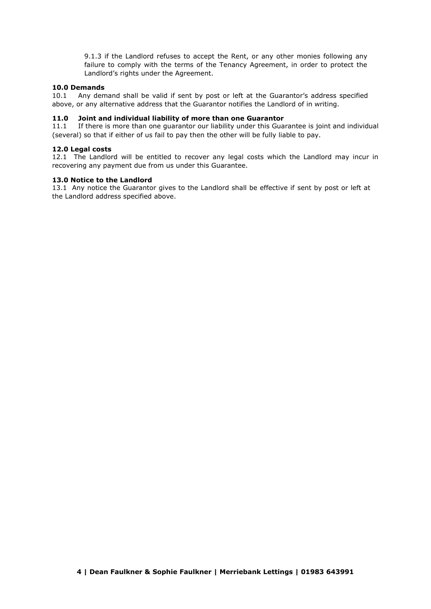9.1.3 if the Landlord refuses to accept the Rent, or any other monies following any failure to comply with the terms of the Tenancy Agreement, in order to protect the Landlord's rights under the Agreement.

#### **10.0 Demands**

10.1 Any demand shall be valid if sent by post or left at the Guarantor's address specified above, or any alternative address that the Guarantor notifies the Landlord of in writing.

#### **11.0 Joint and individual liability of more than one Guarantor**

11.1 If there is more than one guarantor our liability under this Guarantee is joint and individual (several) so that if either of us fail to pay then the other will be fully liable to pay.

#### **12.0 Legal costs**

12.1 The Landlord will be entitled to recover any legal costs which the Landlord may incur in recovering any payment due from us under this Guarantee.

#### **13.0 Notice to the Landlord**

13.1 Any notice the Guarantor gives to the Landlord shall be effective if sent by post or left at the Landlord address specified above.